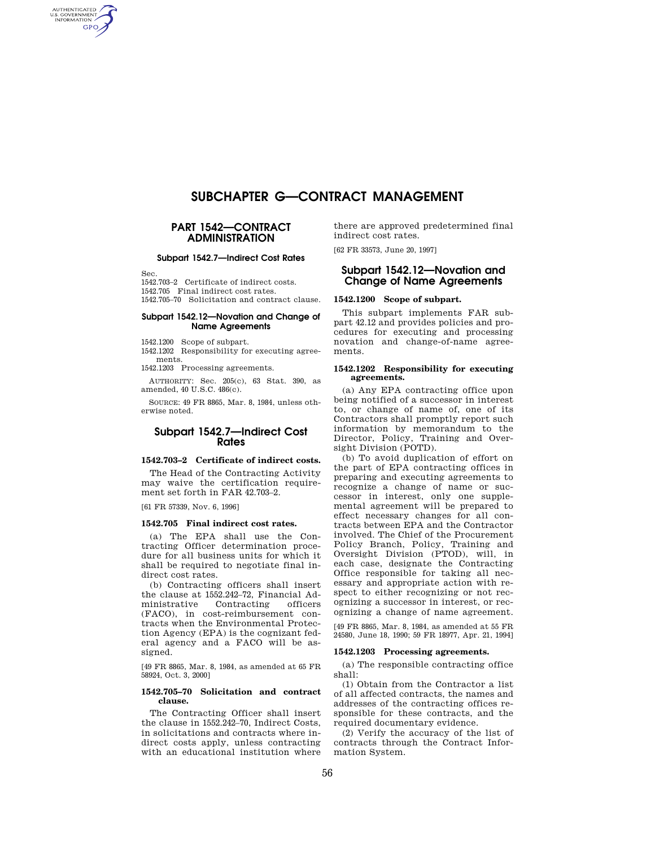# **SUBCHAPTER G—CONTRACT MANAGEMENT**

### **PART 1542—CONTRACT ADMINISTRATION**

### **Subpart 1542.7—Indirect Cost Rates**

Sec.

AUTHENTICATED<br>U.S. GOVERNMENT<br>INFORMATION **GPO** 

> 1542.703–2 Certificate of indirect costs. 1542.705 Final indirect cost rates. 1542.705–70 Solicitation and contract clause.

### **Subpart 1542.12—Novation and Change of Name Agreements**

1542.1200 Scope of subpart.

1542.1202 Responsibility for executing agree-

ments. 1542.1203 Processing agreements.

AUTHORITY: Sec. 205(c), 63 Stat. 390, as amended, 40 U.S.C. 486(c).

SOURCE: 49 FR 8865, Mar. 8, 1984, unless otherwise noted.

# **Subpart 1542.7—Indirect Cost Rates**

### **1542.703–2 Certificate of indirect costs.**

The Head of the Contracting Activity may waive the certification requirement set forth in FAR 42.703–2.

[61 FR 57339, Nov. 6, 1996]

### **1542.705 Final indirect cost rates.**

(a) The EPA shall use the Contracting Officer determination procedure for all business units for which it shall be required to negotiate final indirect cost rates.

(b) Contracting officers shall insert the clause at 1552.242–72, Financial Administrative Contracting officers (FACO), in cost-reimbursement contracts when the Environmental Protection Agency (EPA) is the cognizant federal agency and a FACO will be assigned.

[49 FR 8865, Mar. 8, 1984, as amended at 65 FR 58924, Oct. 3, 2000]

### **1542.705–70 Solicitation and contract clause.**

The Contracting Officer shall insert the clause in 1552.242–70, Indirect Costs, in solicitations and contracts where indirect costs apply, unless contracting with an educational institution where

there are approved predetermined final indirect cost rates.

[62 FR 33573, June 20, 1997]

# **Subpart 1542.12—Novation and Change of Name Agreements**

### **1542.1200 Scope of subpart.**

This subpart implements FAR subpart 42.12 and provides policies and procedures for executing and processing novation and change-of-name agreements.

#### **1542.1202 Responsibility for executing agreements.**

(a) Any EPA contracting office upon being notified of a successor in interest to, or change of name of, one of its Contractors shall promptly report such information by memorandum to the Director, Policy, Training and Oversight Division (POTD).

(b) To avoid duplication of effort on the part of EPA contracting offices in preparing and executing agreements to recognize a change of name or successor in interest, only one supplemental agreement will be prepared to effect necessary changes for all contracts between EPA and the Contractor involved. The Chief of the Procurement Policy Branch, Policy, Training and Oversight Division (PTOD), will, in each case, designate the Contracting Office responsible for taking all necessary and appropriate action with respect to either recognizing or not recognizing a successor in interest, or recognizing a change of name agreement.

[49 FR 8865, Mar. 8, 1984, as amended at 55 FR 24580, June 18, 1990; 59 FR 18977, Apr. 21, 1994]

#### **1542.1203 Processing agreements.**

(a) The responsible contracting office shall:

(1) Obtain from the Contractor a list of all affected contracts, the names and addresses of the contracting offices responsible for these contracts, and the required documentary evidence.

(2) Verify the accuracy of the list of contracts through the Contract Information System.